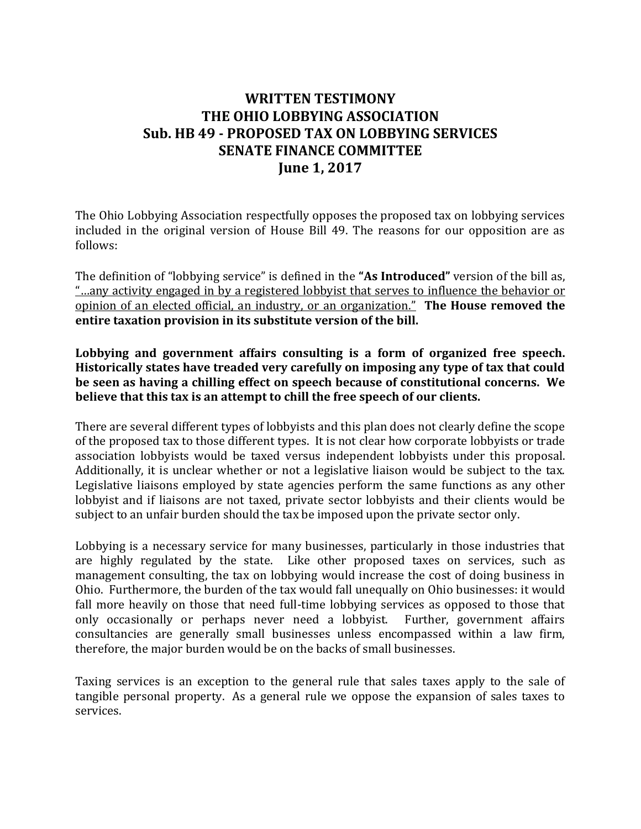## **WRITTEN TESTIMONY THE OHIO LOBBYING ASSOCIATION Sub. HB 49 - PROPOSED TAX ON LOBBYING SERVICES SENATE FINANCE COMMITTEE June 1, 2017**

The Ohio Lobbying Association respectfully opposes the proposed tax on lobbying services included in the original version of House Bill 49. The reasons for our opposition are as follows:

The definition of "lobbying service" is defined in the **"As Introduced"** version of the bill as, "…any activity engaged in by a registered lobbyist that serves to influence the behavior or opinion of an elected official, an industry, or an organization." **The House removed the entire taxation provision in its substitute version of the bill.**

**Lobbying and government affairs consulting is a form of organized free speech. Historically states have treaded very carefully on imposing any type of tax that could be seen as having a chilling effect on speech because of constitutional concerns. We believe that this tax is an attempt to chill the free speech of our clients.**

There are several different types of lobbyists and this plan does not clearly define the scope of the proposed tax to those different types. It is not clear how corporate lobbyists or trade association lobbyists would be taxed versus independent lobbyists under this proposal. Additionally, it is unclear whether or not a legislative liaison would be subject to the tax. Legislative liaisons employed by state agencies perform the same functions as any other lobbyist and if liaisons are not taxed, private sector lobbyists and their clients would be subject to an unfair burden should the tax be imposed upon the private sector only.

Lobbying is a necessary service for many businesses, particularly in those industries that are highly regulated by the state. Like other proposed taxes on services, such as management consulting, the tax on lobbying would increase the cost of doing business in Ohio. Furthermore, the burden of the tax would fall unequally on Ohio businesses: it would fall more heavily on those that need full-time lobbying services as opposed to those that only occasionally or perhaps never need a lobbyist. Further, government affairs consultancies are generally small businesses unless encompassed within a law firm, therefore, the major burden would be on the backs of small businesses.

Taxing services is an exception to the general rule that sales taxes apply to the sale of tangible personal property. As a general rule we oppose the expansion of sales taxes to services.